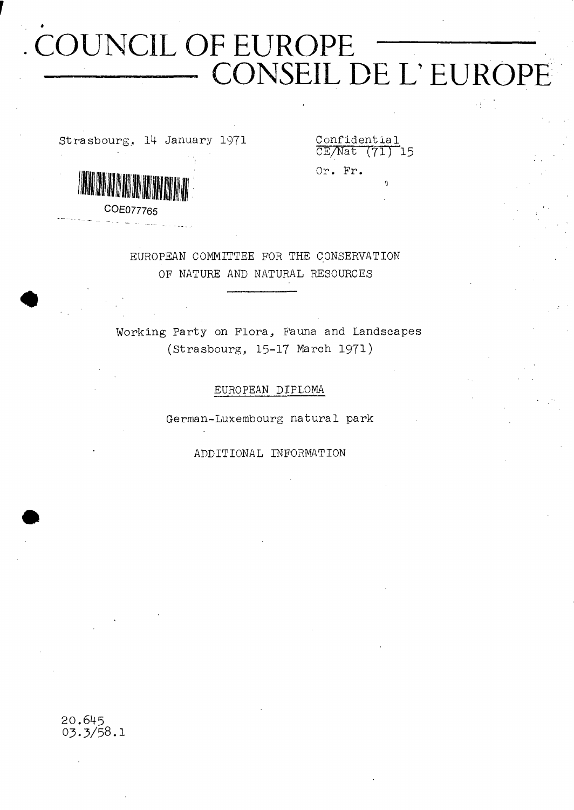# **COUNCIL OF EUROPE ----------------- CONSEIL DE L'EUROPE**

Strasbourg, 14- January 1971

**Contract of the contract of the contract of the contract of the contract of the contract of the contract of th** 

Confidential CE/Nat (71) 15

o

Or. Pr.

**COE077765**

EUROPEAN COMMITTEE FOR THE CONSERVATION OP NATURE AND NATURAL RESOURCES

Working Party on Flora, Fauna and Landscapes (Strasbourg, 15-17 March 1971)

#### EUROPEAN DIPLOMA

German-Luxembourg natural park

ADDITIONAL INFORMATION

20.645 **O3.5/58.I**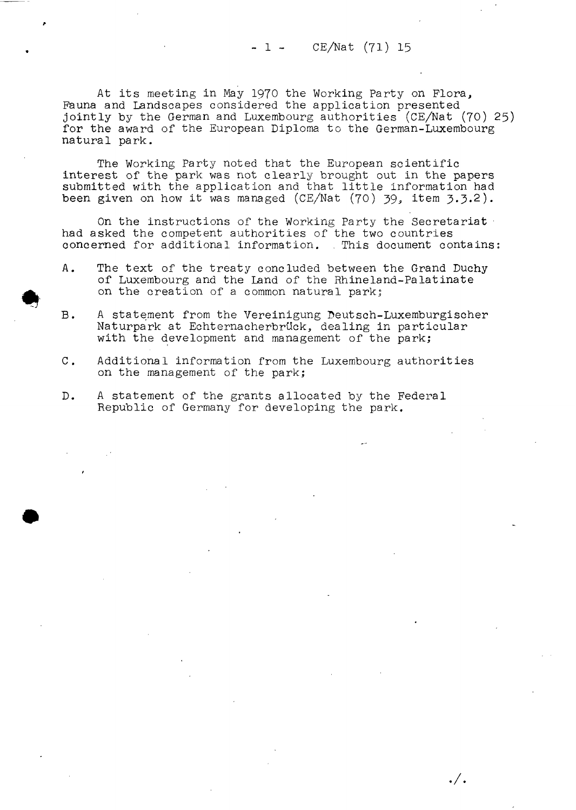$-1 - CE/Nat (71) 15$ 

At its meeting in May 1970 the Working Party on Flora, Fauna and Landscapes considered the application presented jointly by the German and Luxembourg authorities (CE/Nat (70) 25) for the award of the European Diploma to the German-Luxembourg natural park.

The Working Party noted that the European scientific interest of the park was not clearly brought out in the papers submitted with the application and that little information had been given on how it was managed (CE/Nat (70) 39, item 3.3.2).

On the instructions of the Working Party the Secretariat had asked the competent authorities of the two countries concerned for additional information. . This document contains;

- A. The text of the treaty concluded between the Grand Duchy of Luxembourg and the Land of the Rhineland-Palatinate on the creation of a common natural park;
- B. A statement from the Vereinigung Deutsch-Luxemburgischer Naturpark at Echternacherbrück, dealing in particular with the development and management of the park;
- C. Additional information from the Luxembourg authorities on the management of the park;

 $\cdot /$  .

D. A statement of the grants allocated by the Federal Republic of Germany for developing the park.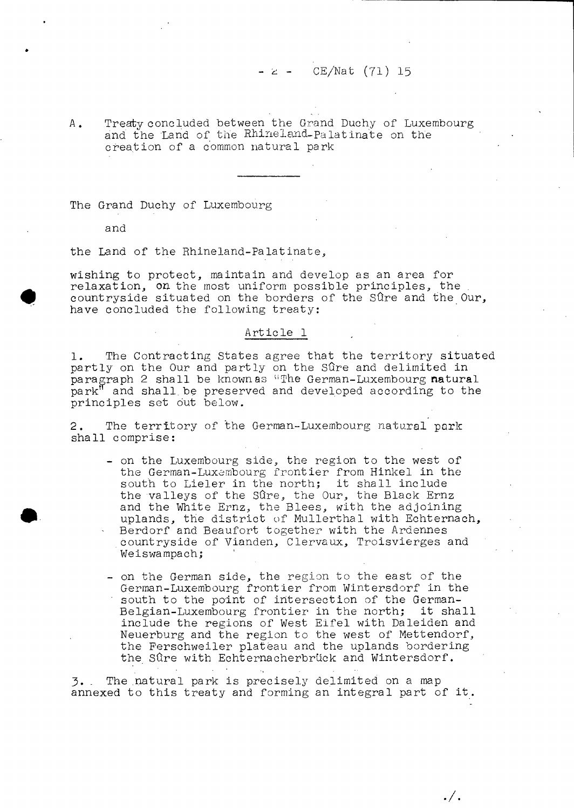A. Treaty concluded between the Grand Duchy of Luxembourg and the Land of the Rhine 1 and Palatinate on the creation of a common natural park

The Grand Duchy of Luxembourg

and

the Land of the Rhineland-Palatinate,

wishing to protect, maintain and develop as an area for relaxation, on the most uniform possible principles, the countryside situated on the borders of the Sûre and the Our, have concluded the following treaty:

#### Article 1

1. The Contracting States agree that the territory situated partly on the Our and partly on the Sûre and delimited in paragraph 2 shall be known as "The German-Luxembourg natural park" and shall be preserved and developed according to the principles set out below.

2. The territory of 'the German-Luxembourg natural park shall comprise:

- on the Luxembourg side, the region to the west of the German-Luxembourg frontier from Hinkel in the south to Lieler in the north; it shall include the valleys of the Sûre, the Our, the Black Ernz and the White Ernz, the Blees, with the adjoining uplands, the district of Mullerthal with Echternach, Berdorf and Beaufort together with the Ardennes
- countryside of Vianden, Clervaux, Troisvierges and Weiswampach;
- on the German side, the region to the east of the German-Luxembourg frontier from W'intersdorf in the south to the point of intersection of the German-Belgian-Luxembourg frontier in the north; it shall include the regions of West Eifel with Daleiden and Neuerburg and the region to the west of Mettendorf, the Ferschweiler plateau and the uplands bordering the Sûre with Echternacherbrück and Wintersdorf.

 $./.$ 

5. . The .natural park is precisely delimited on a map annexed to this treaty and forming an integral part of it.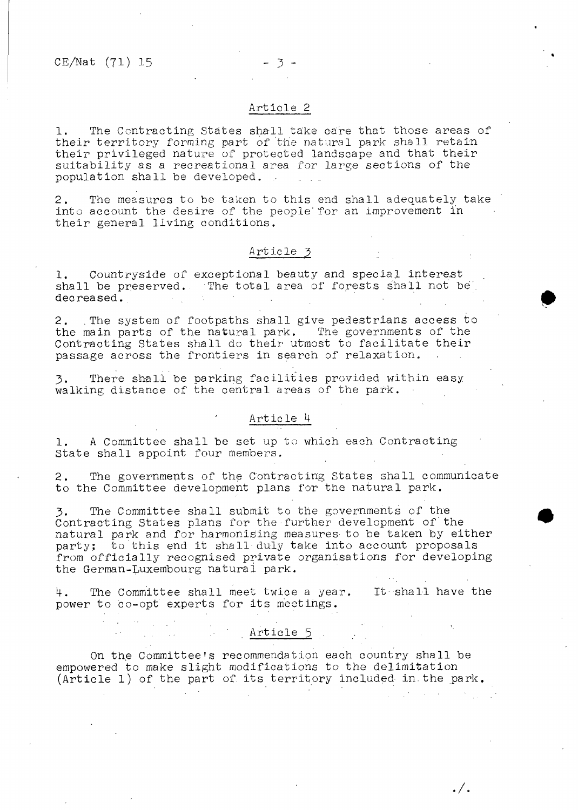#### Article 2

 $-3-$ 

1. The Contracting States shall take care that those areas of their territory forming part of the natural park shall retain their privileged nature of protected landscape and that their suitability as a recreational area for large sections of the population shall be developed. ..

2. The measures to be taken to this end shall adequately take into account the desire of the people' for an improvement in their general living conditions.

#### Article 3

1. Countryside of exceptional beauty and special interest shall be preserved. The total area of forests shall not be decreased.

2. The system of footpaths shall give pedestrians access to the main parts of the natural park. The governments of the Contracting States shall do their utmost to facilitate their passage across the frontiers in search of relaxation.

3. There shall be parking facilities provided within easy walking distance of the central areas of the park.

#### Article H

1. A Committee shall be set up to which each Contracting State shall appoint four members.

2. The governments of the Contracting States shall communicate to the Committee development plans for the natural park.

The Committee shall submit to the governments of the Contracting States plans for the further development of the natural park and for harmonising measures to be taken by either party; to this end it shall-duly take into account proposals from officially recognised private organisations for developing the German-Luxembourg naturai park.

4. The Committee shall meet twice a year. It- shall have the power to co-opt experts for its meetings.

#### ■ **Article 5** ■ •

 $\sim 100$ 

**Controlled States** 

./.

On the Committee's recommendation each country shall be empowered to make slight modifications to the delimitation (Article 1) of the part of. its territory included in. the park.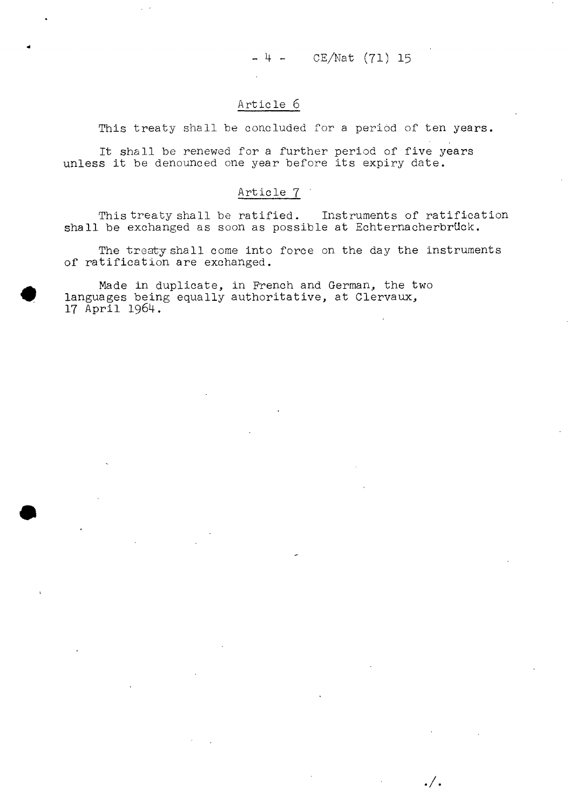$-4 -$ CE/Nat (71) 15

 $\cdot /$  .

#### Article 6

This treaty shall be concluded for a period of ten years.

It shall be renewed for a further period of five years unless it be denounced one year before its expiry date.

#### Article 7 '

This treaty shall be ratified. Instruments of ratification shall be exchanged as soon as possible at Echternacherbrück.

The treaty shall come into force on the day the instruments of ratification are exchanged.

Made in duplicate, in French and German, the two languages being equally authoritative, at Clervaux, 17 April 1964.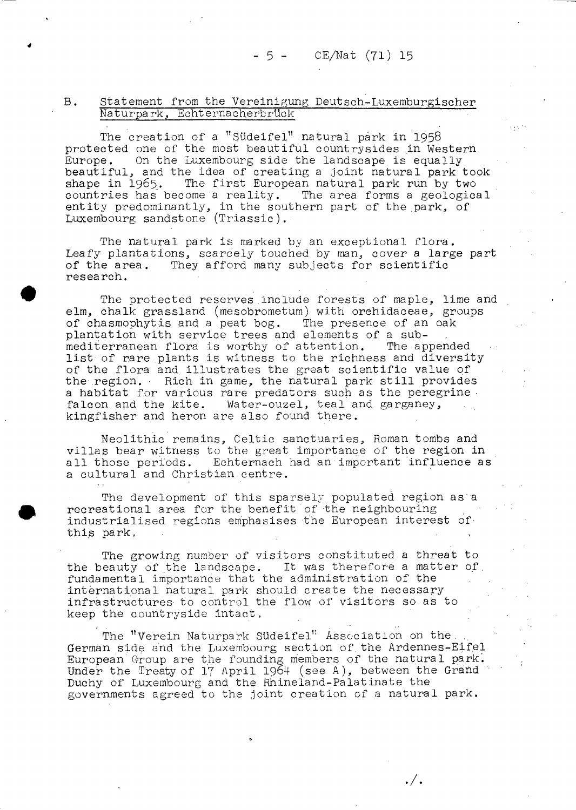#### B. Statement from the Vereinigung Deutsch-Luxemburgischer Naturpark, Echternacherbrück

The creation of a "Südeifel" natural park in I958 protected one of the most beautiful countrysides in Western Europe. On the Luxembourg side the landscape is equally beautiful, and the idea of creating a joint natural park took shape in 1965. The first European natural park run by two countries has become "a reality. The area forms a geological entity predominantly, in the southern part of the park, of Luxembourg sandstone (Triassic).

The natural park is marked by an exceptional flora. Leafy plantations, scarcely touched by man, cover a large part<br>of the area. They afford many subjects for scientific They afford many subjects for scientific research.

The protected reserves.include forests of maple, lime and elm, chalk grassland (mesobrometum) with orehidaceae, groups of chasmophytis and a peat bog. The presence of an oak plantation with service trees and elements of a sub-<br>mediterranean flora is worthy of attention. The appended mediterranean flora is worthy of attention. list of rare plants is witness to the richness and diversity of the flora and illustrates the great scientific value of the region. Rich in game, the natural park still provides a habitat for various rare predators such as the peregrine falcon and the kite. Water-ouzel, teal and garganey, Water-ouzel, teal and garganey, kingfisher and heron are also found there.

Neolithic remains, Celtic sanctuaries, Roman tombs and villas bear witness to the great importance of the region in all those periods. Echternach had an important influence as a cultural and Christian centre.

The development of this sparsely populated region as a recreational area for the benefit of the neighbouring industrialised regions emphasises the European interest ofthis park.

The growing number of visitors constituted a threat to the beauty of the landscape. It was therefore a matter of. fundamental importance that the administration of the international natural park should create the necessary infrastructures- to control the flow of visitors so as to keep the countryside intact.

The "Verein Naturpark Südeifel" Association on the, German side and the Luxembourg section of.the Ardennes-Eifel European'Group are the founding members of the natural park. Under the Treaty of 17 April 1964 (see A), between the Grand Duchy of Luxembourg and the Rhineland-Palatinate the governments agreed to the joint creation of a natural park.

. / .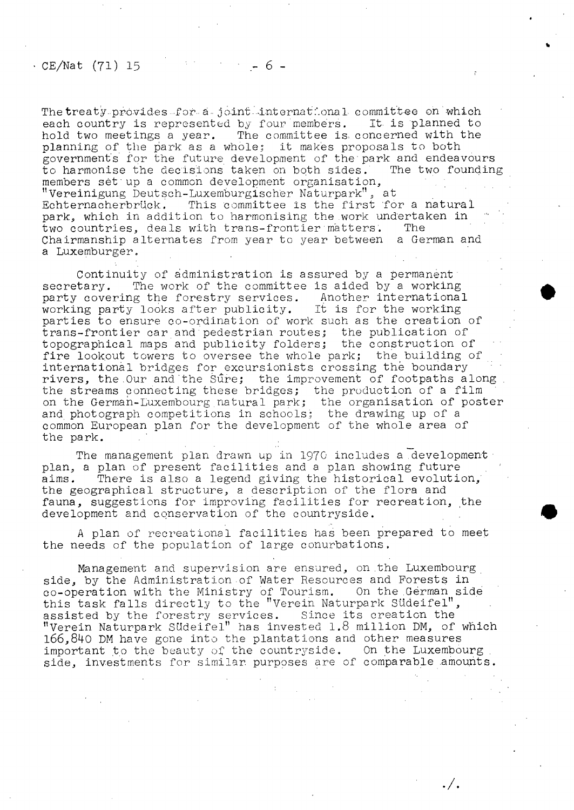#### $\cdot$  CE/Nat (71) 15

The treaty provides for a joint international committee on which each country is represented by four members. It is planned to hold two meetings a year. The committee is. concerned with the planning of the park as a whole: it makes proposals to both governments for the future development of the'park and endeavours to harmonise the decisions taken on both sides. The two founding members set'up a common development organisation, "Vereinigung Deutsch-Luxemburgischer Naturpark", at Echternacherbrück. This committee is the first for a natural park, which in addition to harmonising the work undertaken in two countries. deals with trans-frontier matters. The two countries, deals with trans-frontier matters. Chairmanship alternates from year to year between a German and a Luxemburger.

Continuity of administration is assured by a permanent secretary. The work of the committee is aided by a working<br>party covering the forestry services. Another international party covering the forestry services. working party looks after publicity. It is for the working parties to ensure co-ordination of work such as the creation of trans-frontier car and pedestrian routes; the publication of topographical maps and publicity folders; the construction of fire lookout towers to oversee the whole park; the building of international bridges for excursionists crossing the boundary rivers, the Our and the Sure; the improvement of footpaths along. the streams connecting these bridges; the production of a film on the German-Luxembourg natural park; the organisation of poster and photograph competitions in schools; the drawing up of a common European plan for the development of the whole area of the park.

The management plan drawn up in 1970 includes a development plan, a plan of present facilities and a plan showing future aims. There is also a legend giving the historical evolution,' the geographical structure, a description of the flora and fauna, suggestions for improving facilities for recreation, the development and conservation of the countryside.

A plan of recreational facilities has been prepared to meet the needs of the population of large conurbations.

Management and supervision are ensured, on .the Luxembourg side, by the Administration of Water Resources and Forests in co-operation with the Ministry of Tourism. On the German side this task falls directly to the "Verein Naturpark Südeifel", assisted by the forestry services. Since its creation the "Verein Naturpark Südeifel" has invested 1.8 million DM, of which 166,840 DM have gone into the plantations and other measures important to the beauty of the countryside. On the Luxembourg side, investments for similar purposes are of comparable amounts.

 $./.$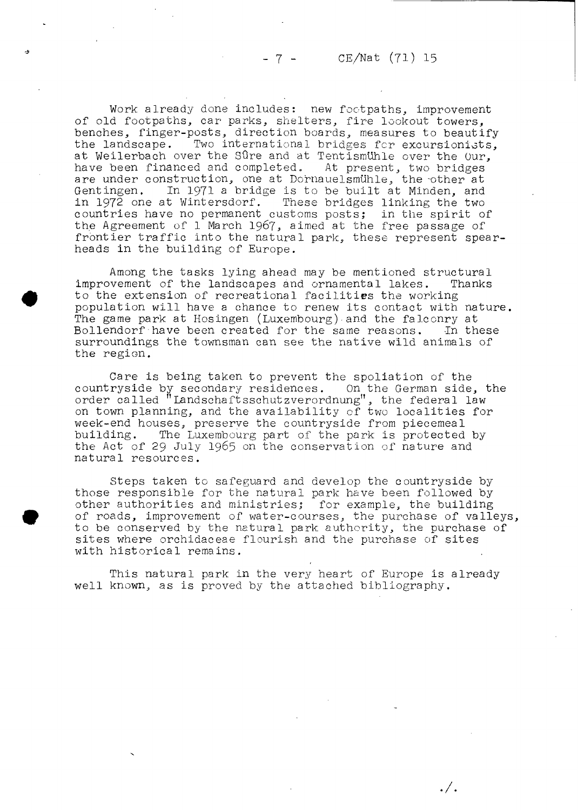Work already done includes: new footpaths, improvement of old footpaths, car parks, shelters, fire lookout towers, benches, finger-posts, direction boards, measures to beautify<br>the landscape. Two international bridges for excursionists. Two international bridges for excursionists, at Weilerbach over the Sûre and at Tentismuhle over the Our,<br>have been financed and completed. At present, two bridges have been financed and completed. At present, two bridges are under construction, one at Dornauelsmühle, the other at Gent ingen. In 1971 a bridge is to be built at Minden, and in 1972 one at Wintersdorf. These bridges linking the two countries have no permanent customs posts; in the spirit of the Agreement of 1 March I967, aimed at the free passage of frontier traffic into the natural park, these represent spearheads in the building of Europe.

 $-7 -$ 

Among the tasks lying ahead may be mentioned structural improvement of the landscapes and ornamental lakes. Thanks to the extension of recreational facilities the working population will have a chance to renew its contact with nature. The game park at Hosingen (Luxembourg) • and the falconry at Bollendorf have been created for the same reasons. In these surroundings the townsman can see the native wild animals of the region.

Care is being taken to prevent the spoliation of the countryside by secondary residences. On the German side, the order called "Landschaftsschutzverordnung", the federal law on town planning, and the availability of two localities for week-end houses, preserve the countryside from piecemeal building. The Luxembourg part of the park is protected by the Act of 29 July I965 on the conservation of nature and natural resources.

Steps taken to safeguard and develop the countryside by those responsible for the natural park have been followed by other authorities and ministries; for example, the building of roads, improvement of water-courses, the purchase of valleys, to be conserved by the natural park authority, the purchase of sites where orchidaceae flourish and the purchase of sites with historical remains.

This natural park in the very heart of Europe is already well known, as is proved by the attached bibliography.

 $\cdot / \cdot$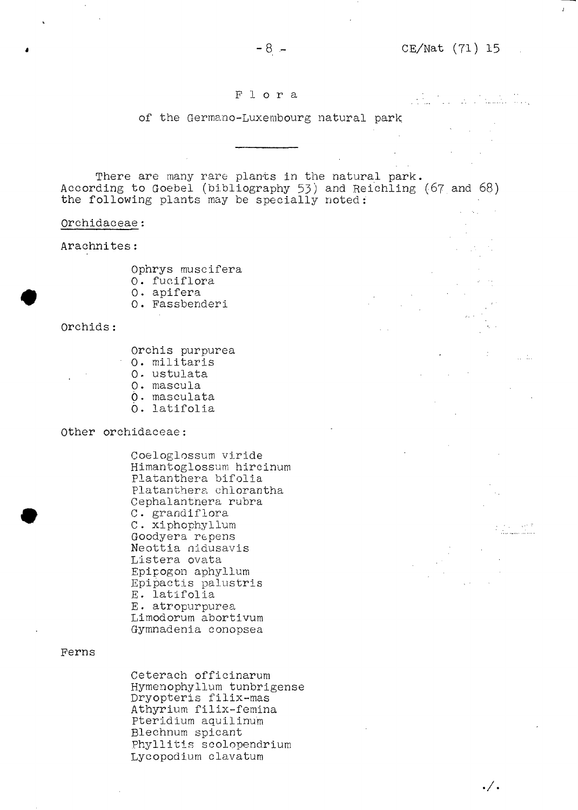#### Flora

 $-8 -$ 

#### of the Germano-Luxembourg natural park

There are many rare plants in the natural park. According to Goebel (bibliography 53) and Reichling (67 and 68) the following plants may be specially noted:

#### Qrchidaceae

Arachnites :

Ophrys muscifera 0. fuciflora 0. apifera

0. Fassbenderi

#### Orchids

- Orchis purpurea 0. militaris
- 0. ustulata
- 0. mascula
- Ò » masculata
- Ó. latifolia

#### Other orchidaceae:

Coeloglossum viride Himantoglossum hircinum Platanthera bifolia platanthera. chlorantha Cephalantnera rubra C. grandiflora C . xiphophyllum Goodyera repens Neottia niausavis Listera ovata Epipogon aphyllum Epipactis palustris E. latifolia E . atropurpurea Limodorum abortivum Gymnadenia conopsea

#### Ferns

Ceterach officinarum Hymenophyllum tunbrigense Dryopteris filix-mas Athyrium filix-femina Pteridium aquilinum Blechnurn spicant Phyllitis scolopendrium Lycopodium clavatum

## الا اليابا<br>منتشر مسي

 $\sim 100$ 

./•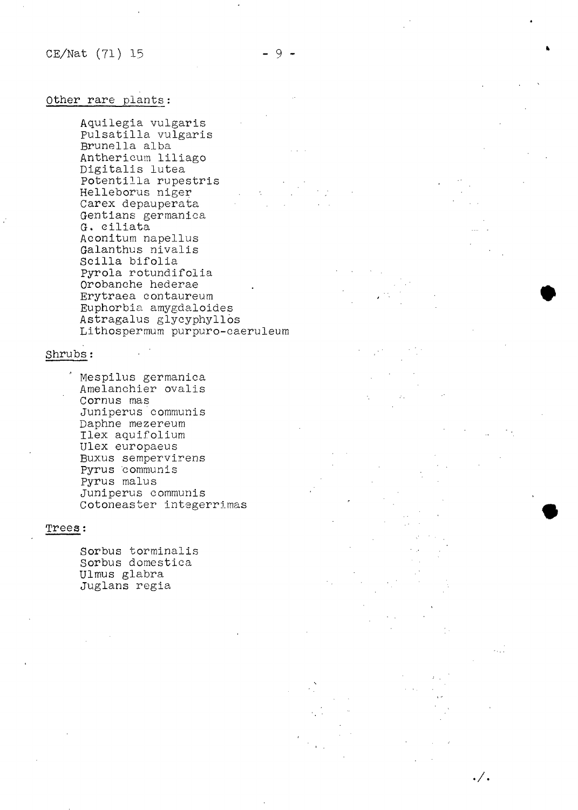./.

#### Other rare plants :

Aquilegia vulgaris Pulsatilla vulgaris Brunella alba Anthericum liliago Digitalis lutea Potentilla rupestris Helleborus niger Carex depauperata Gentians germanica G. Giliata Aconitum napellus Galanthus nivalis Scilla bifolia Pyrola rotundifolia Orobanche hederae Erytraea contaureum Euphorbia amygdaloides Astragalus glycyphyllos Lithospermum purpuro-caeruleum

#### Shrubs :

Mespilus germanica Amelanchier ovalis Cornus mas Juniperus communis Daphne mezereum Ilex aquifolium Ulex europaeus Buxus sempervirens Pyrus communis Pyrus malus Juniperus communis Cotoneaster integerrimas

#### Trees :

Sorbus torminalis Sorbus domestica Ulmus glabra Juglans regia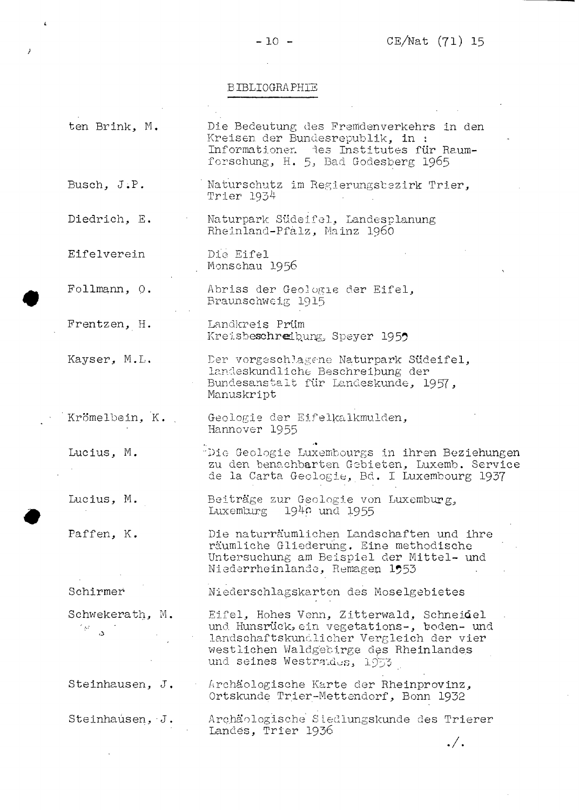*}*

 $\mathcal{L}$ 

 $\sim 10^6$ 

 $\sim 10$ 

## BIBLIOGRAPHIE

 $\sim 10^{-1}$ 

| ten Brink, M.           | Die Bedeutung des Fremdenverkehrs in den<br>Kreisen der Bundesrepublik, in :<br>Informationen des Institutes für Raum-<br>forschung, H. 5, Bad Godesberg 1965                                               |
|-------------------------|-------------------------------------------------------------------------------------------------------------------------------------------------------------------------------------------------------------|
| Busch, $J.P.$           | Naturschutz im Regierungsbezirk Trier,<br>Trier 1934                                                                                                                                                        |
| Diedrich, E.            | Naturpark Südeifel, Landesplanung<br>Rheinland-Pfalz, Mainz 1960                                                                                                                                            |
| Eifelverein             | Die Eifel<br>Monschau 1956                                                                                                                                                                                  |
| Follmann, O.            | Abriss der Geologie der Eifel,<br>Braunschweig 1915                                                                                                                                                         |
| Frentzen, H.            | Landkreis Prüm<br>Kreisbeschreibung, Speyer 1959                                                                                                                                                            |
| Kayser, M.L.            | Der vorgeschlagene Naturpark Südeifel,<br>landeskundliche Beschreibung der<br>Bundesanstalt für Landeskunde, 1957,<br>Manuskript                                                                            |
| Krömelbein, K.          | Geologie der Eifelkalkmulden,<br>Hannover 1955                                                                                                                                                              |
| Lucius, M.              | "Die Geologie Luxembourgs in ihren Beziehungen<br>zu den benachbarten Gebieten, Luxemb. Service<br>de la Carta Geologie, Bd. I Luxembourg 1937                                                              |
| Lucius, M.              | Beiträge zur Geologie von Luxemburg,<br>Luxemburg 1940 und 1955                                                                                                                                             |
| Paffen, K.              | Die naturräumlichen Landschaften und ihre<br>räumliche Gliederung. Eine methodische<br>Untersuchung am Beispiel der Mittel- und<br>Niederrheinlande, Remagen 1953                                           |
| Schirmer                | Niederschlagskarten des Moselgebietes                                                                                                                                                                       |
| Schwekerath, M.<br>ిళ ప | Eifel, Hohes Venn, Zitterwald, Schneidel<br>und Hunsrück, ein vegetations-, boden- und<br>landschaftskundlicher Vergleich der vier<br>westlichen Waldgebirge des Rheinlandes<br>und seines Westraldes, 1953 |
| Steinhausen, J.         | Archäologische Karte der Rheinprovinz,<br>Ortskunde Trier-Mettendorf, Bonn 1932                                                                                                                             |
| Steinhausen, J.         | Archäologische Siedlungskunde des Trierer<br>Landes, Trier 1936                                                                                                                                             |
|                         | $\cdot / \cdot$                                                                                                                                                                                             |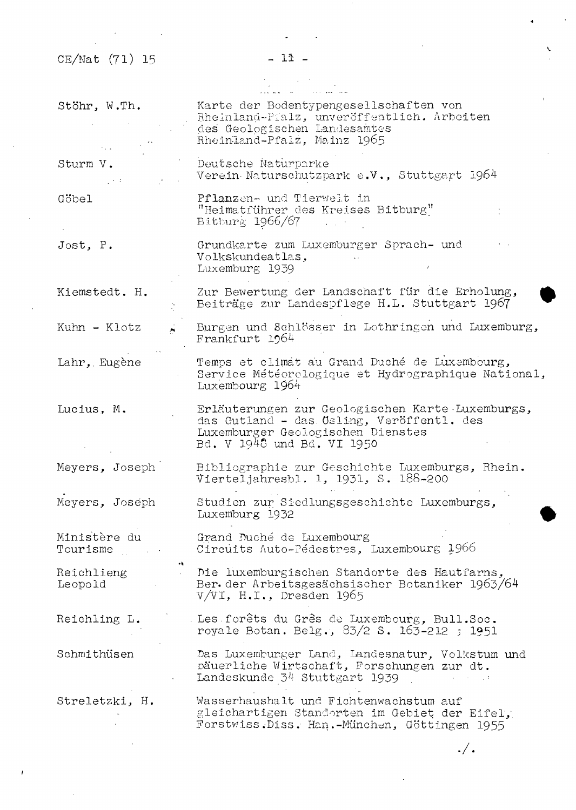$\bar{z}$ 

 $\ddot{\phantom{a}}$ 

 $\sim$ 

 $\hat{\boldsymbol{\beta}}$ 

## $-11 -$

 $\mathcal{L}^{\text{max}}_{\text{max}}$  and  $\mathcal{L}^{\text{max}}_{\text{max}}$ 

 $\sim$ 

## 

| Stöhr, W.Th.                                | Karte der Bodentypengesellschaften von<br>Rheinland-Pialz, unveröffentlich. Arbeiten<br>des Geologischen Landesamtes<br>Rheinland-Pfalz, Mainz 1965              |
|---------------------------------------------|------------------------------------------------------------------------------------------------------------------------------------------------------------------|
| Sturm V.<br>$\mathcal{A} \in \mathcal{X}$ . | Deutsche Naturparke<br>Verein Naturschutzpark e.V., Stuttgart 1964                                                                                               |
| Göbel                                       | Pflanzen- und Tierwelt in<br>"Heimatführer des Kreises Bitburg"<br>Bitburg 1966/67                                                                               |
| Jost, P.                                    | Grundkarte zum Luxemburger Sprach- und<br>Volkskundeatlas,<br>Luxemburg 1939                                                                                     |
| Kiemstedt. H.                               | Zur Bewertung der Landschaft für die Erholung,<br>Beiträge zur Landespflege H.L. Stuttgart 1967                                                                  |
| Kuhn - Klotz                                | Burgen und Schlösser in Lothringen und Luxemburg,<br>Frankfurt 1964                                                                                              |
| Lahr, Eugène                                | Temps et climat au Grand Duché de Luxembourg,<br>Service Météorologique et Hydrographique National,<br>Luxembourg 1964                                           |
| Lucius, M.                                  | Erläuterungen zur Geologischen Karte Luxemburgs,<br>das Gutland - das Osling, Veröffentl. des<br>Luxemburger Geologischen Dienstes<br>Bd. V 1948 und Bd. VI 1950 |
| Meyers, Joseph                              | Bibliographie zur Geschichte Luxemburgs, Rhein.<br>Vierteljahresbl. 1, 1931, S. 188-200                                                                          |
| Meyers, Joseph                              | Studien zur Siedlungsgeschichte Luxemburgs,<br>Luxemburg 1932                                                                                                    |
| Ministère du<br>Tourisme                    | Grand Duché de Luxembourg<br>Circuits Auto-Pédestres, Luxembourg 1966                                                                                            |
| Reichlieng<br>Leopold                       | Die luxemburgischen Standorte des Hautfarns,<br>Ber der Arbeitsgesächsischer Botaniker 1963/64<br>$V/VI$ , H.I., Dresden 1965                                    |
| Reichling L.                                | . Les forêts du Grês de Luxembourg, Bull.Soc.<br>royale Botan. Belg., 83/2 S. 163-212 ; 1951                                                                     |
| Schmithüsen                                 | Das Luxemburger Land, Landesnatur, Volkstum und<br>päuerliche Wirtschaft, Forschungen zur dt.<br>Landeskunde 34 Stuttgart 1939<br>$\epsilon = 0.12$              |
| Streletzki, H.                              | Wasserhaushalt und Fichtenwachstum auf<br>gleichartigen Standorten im Gebiet der Eifel,<br>Forstwiss. Diss. Han.-München, Göttingen 1955                         |

 $\cdot /$  .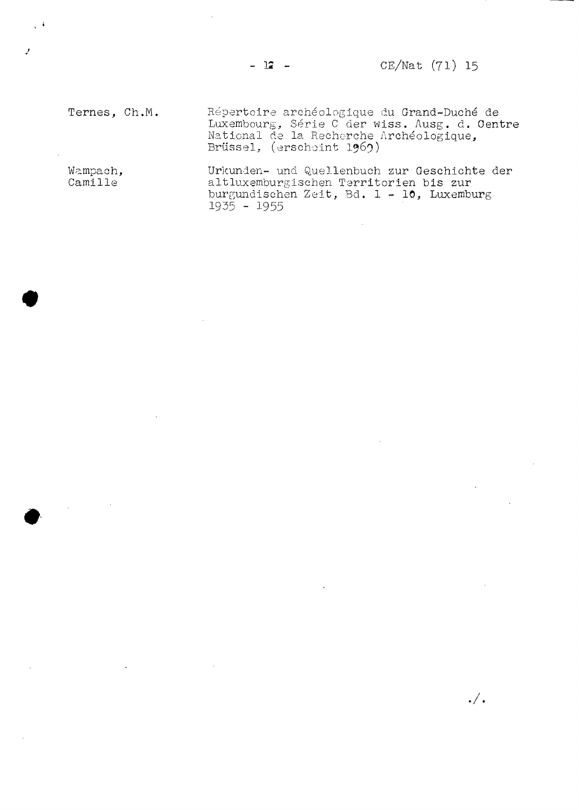$-12 -$ 

## CE/Nat (71) 15

 $\cdot/$ .

Ternes, Ch.M.

Répertoire archéologique du Grand-Duché de Luxembourg, Série C der wiss. Ausg. d. Oentr National de la Recherche Archéologique, Brüssel, (erscheint 1969)

Wampach, Camille

 $\sqrt{4}$ 

y

Urkunden- und Quellenbuch zur Geschichte der altluxemburgischen Territorien bis zur burgundischen Zeit, Bd. 1 - 10, Luxemburg I935 - I955

 $\overline{\phantom{a}}$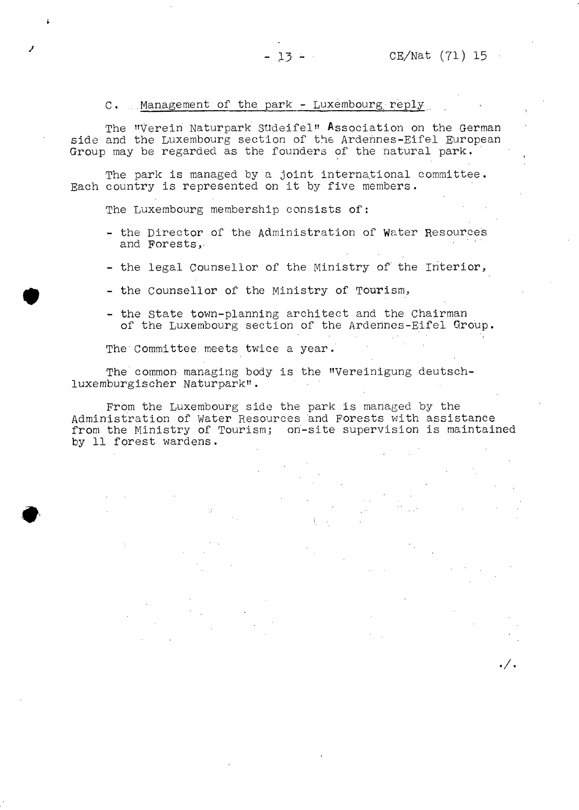#### $C.$  Management of the park - Luxembourg reply

The "Verein Naturpark Sudeifel" Association on the German side and the Luxembourg section of the Ardennes-Eifel European Group may be regarded as the founders of the natural park.

 $-13 - 1$ 

The park is managed by a joint international committee. Each country is represented on it by five members.

The Luxembourg membership consists of:

- the Director of the Administration of Water Resources and Forests,
- the legal Counsellor of the Ministry of' the Interior,
- the Counsellor of the Ministry of Tourism,
- the State town-planning architect and the Chairman of the Luxembourg section of the Ardennes-Eifel Group.

The Committee meets twice a year.

The common managing body is the "Vereinigung deutschluxemburgischer Naturpark".

From the Luxembourg side the park is managed by the Administration of Water Resources and Forests with assistance from the Ministry of Tourism; on-site supervision is maintained by 11 forest wardens.